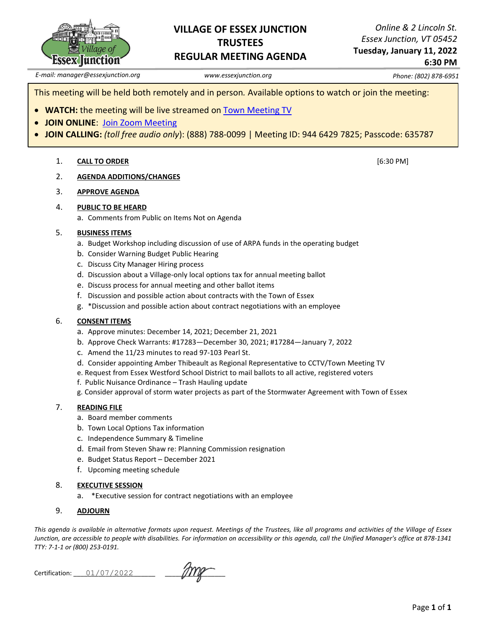

# **VILLAGE OF ESSEX JUNCTION TRUSTEES REGULAR MEETING AGENDA**

*Online & 2 Lincoln St. Essex Junction, VT 05452* **Tuesday, January 11, 2022**

**6:30 PM**

*E-mail: manager@essexjunction.org www.essexjunction.org Phone: (802) 878-6951*

This meeting will be held both remotely and in person*.* Available options to watch or join the meeting:

- **WATCH:** the meeting will be live streamed on [Town Meeting TV](https://www.youtube.com/playlist?app=desktop&list=PLljLFn4BZd2NDBcfrHVdIR7eUeko7haxg)
- **JOIN ONLINE**: [Join Zoom Meeting](https://zoom.us/j/94464297825?pwd=T0RTL0VteHZXNHlteTJpQi83WUg4QT09)
- **JOIN CALLING:** *(toll free audio only*): (888) 788-0099 | Meeting ID: 944 6429 7825; Passcode: 635787

## 1. **CALL TO ORDER** [6:30 PM]

2. **AGENDA ADDITIONS/CHANGES**

## 3. **APPROVE AGENDA**

## 4. **PUBLIC TO BE HEARD**

a. Comments from Public on Items Not on Agenda

#### 5. **BUSINESS ITEMS**

- a. Budget Workshop including discussion of use of ARPA funds in the operating budget
- b. Consider Warning Budget Public Hearing
- c. Discuss City Manager Hiring process
- d. Discussion about a Village-only local options tax for annual meeting ballot
- e. Discuss process for annual meeting and other ballot items
- f. Discussion and possible action about contracts with the Town of Essex
- g. \*Discussion and possible action about contract negotiations with an employee

## 6. **CONSENT ITEMS**

- a. Approve minutes: December 14, 2021; December 21, 2021
- b. Approve Check Warrants: #17283—December 30, 2021; #17284—January 7, 2022
- c. Amend the 11/23 minutes to read 97-103 Pearl St.
- d. Consider appointing Amber Thibeault as Regional Representative to CCTV/Town Meeting TV
- e. Request from Essex Westford School District to mail ballots to all active, registered voters
- f. Public Nuisance Ordinance Trash Hauling update
- g. Consider approval of storm water projects as part of the Stormwater Agreement with Town of Essex

## 7. **READING FILE**

- a. Board member comments
- b. Town Local Options Tax information
- c. Independence Summary & Timeline
- d. Email from Steven Shaw re: Planning Commission resignation
- e. Budget Status Report December 2021
- f. Upcoming meeting schedule

## 8. **EXECUTIVE SESSION**

a. \*Executive session for contract negotiations with an employee

## 9. **ADJOURN**

*This agenda is available in alternative formats upon request. Meetings of the Trustees, like all programs and activities of the Village of Essex Junction, are accessible to people with disabilities. For information on accessibility or this agenda, call the Unified Manager's office at 878-1341 TTY: 7-1-1 or (800) 253-0191.*

Certification: \_\_\_\_\_\_\_\_\_\_\_\_\_\_\_\_\_\_\_\_\_\_\_ \_\_\_\_\_\_\_\_\_\_\_\_\_\_\_\_\_ 01/07/2022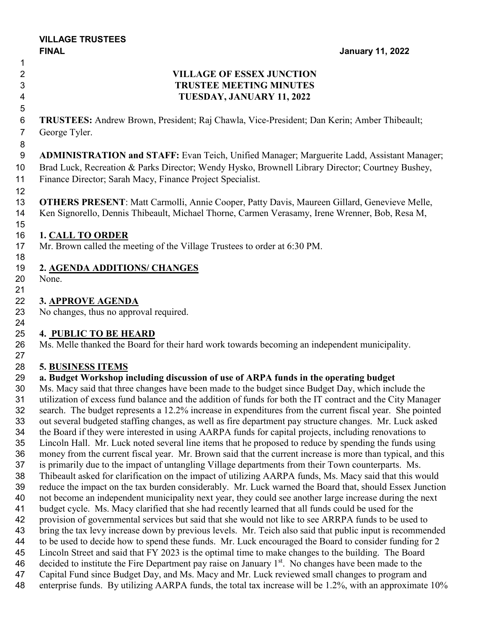# **VILLAGE OF ESSEX JUNCTION TRUSTEE MEETING MINUTES TUESDAY, JANUARY 11, 2022**

 **TRUSTEES:** Andrew Brown, President; Raj Chawla, Vice-President; Dan Kerin; Amber Thibeault; George Tyler.

 **ADMINISTRATION and STAFF:** Evan Teich, Unified Manager; Marguerite Ladd, Assistant Manager; Brad Luck, Recreation & Parks Director; Wendy Hysko, Brownell Library Director; Courtney Bushey, Finance Director; Sarah Macy, Finance Project Specialist.

 **OTHERS PRESENT**: Matt Carmolli, Annie Cooper, Patty Davis, Maureen Gillard, Genevieve Melle, Ken Signorello, Dennis Thibeault, Michael Thorne, Carmen Verasamy, Irene Wrenner, Bob, Resa M,

# **1. CALL TO ORDER**

Mr. Brown called the meeting of the Village Trustees to order at 6:30 PM.

# **2. AGENDA ADDITIONS/ CHANGES**

 None. 

# **3. APPROVE AGENDA**

No changes, thus no approval required.

# **4. PUBLIC TO BE HEARD**

 Ms. Melle thanked the Board for their hard work towards becoming an independent municipality. 

# **5. BUSINESS ITEMS**

## **a. Budget Workshop including discussion of use of ARPA funds in the operating budget**

 Ms. Macy said that three changes have been made to the budget since Budget Day, which include the utilization of excess fund balance and the addition of funds for both the IT contract and the City Manager search. The budget represents a 12.2% increase in expenditures from the current fiscal year. She pointed out several budgeted staffing changes, as well as fire department pay structure changes. Mr. Luck asked the Board if they were interested in using AARPA funds for capital projects, including renovations to Lincoln Hall. Mr. Luck noted several line items that he proposed to reduce by spending the funds using money from the current fiscal year. Mr. Brown said that the current increase is more than typical, and this is primarily due to the impact of untangling Village departments from their Town counterparts. Ms. Thibeault asked for clarification on the impact of utilizing AARPA funds, Ms. Macy said that this would reduce the impact on the tax burden considerably. Mr. Luck warned the Board that, should Essex Junction not become an independent municipality next year, they could see another large increase during the next budget cycle. Ms. Macy clarified that she had recently learned that all funds could be used for the provision of governmental services but said that she would not like to see ARRPA funds to be used to bring the tax levy increase down by previous levels. Mr. Teich also said that public input is recommended to be used to decide how to spend these funds. Mr. Luck encouraged the Board to consider funding for 2 Lincoln Street and said that FY 2023 is the optimal time to make changes to the building. The Board 46 decided to institute the Fire Department pay raise on January  $1<sup>st</sup>$ . No changes have been made to the Capital Fund since Budget Day, and Ms. Macy and Mr. Luck reviewed small changes to program and enterprise funds. By utilizing AARPA funds, the total tax increase will be 1.2%, with an approximate 10%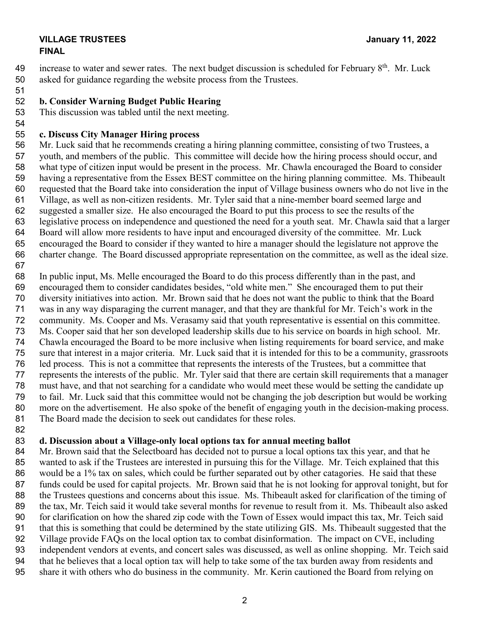## **VILLAGE TRUSTEES January 11, 2022 FINAL**

49 increase to water and sewer rates. The next budget discussion is scheduled for February  $8<sup>th</sup>$ . Mr. Luck asked for guidance regarding the website process from the Trustees.

# **b. Consider Warning Budget Public Hearing**

This discussion was tabled until the next meeting.

# **c. Discuss City Manager Hiring process**

 Mr. Luck said that he recommends creating a hiring planning committee, consisting of two Trustees, a youth, and members of the public. This committee will decide how the hiring process should occur, and what type of citizen input would be present in the process. Mr. Chawla encouraged the Board to consider having a representative from the Essex BEST committee on the hiring planning committee. Ms. Thibeault requested that the Board take into consideration the input of Village business owners who do not live in the Village, as well as non-citizen residents. Mr. Tyler said that a nine-member board seemed large and suggested a smaller size. He also encouraged the Board to put this process to see the results of the legislative process on independence and questioned the need for a youth seat. Mr. Chawla said that a larger Board will allow more residents to have input and encouraged diversity of the committee. Mr. Luck encouraged the Board to consider if they wanted to hire a manager should the legislature not approve the charter change. The Board discussed appropriate representation on the committee, as well as the ideal size.

 In public input, Ms. Melle encouraged the Board to do this process differently than in the past, and encouraged them to consider candidates besides, "old white men." She encouraged them to put their diversity initiatives into action. Mr. Brown said that he does not want the public to think that the Board was in any way disparaging the current manager, and that they are thankful for Mr. Teich's work in the community. Ms. Cooper and Ms. Verasamy said that youth representative is essential on this committee. Ms. Cooper said that her son developed leadership skills due to his service on boards in high school. Mr. Chawla encouraged the Board to be more inclusive when listing requirements for board service, and make sure that interest in a major criteria. Mr. Luck said that it is intended for this to be a community, grassroots led process. This is not a committee that represents the interests of the Trustees, but a committee that represents the interests of the public. Mr. Tyler said that there are certain skill requirements that a manager must have, and that not searching for a candidate who would meet these would be setting the candidate up to fail. Mr. Luck said that this committee would not be changing the job description but would be working more on the advertisement. He also spoke of the benefit of engaging youth in the decision-making process. The Board made the decision to seek out candidates for these roles.

# **d. Discussion about a Village-only local options tax for annual meeting ballot**

84 Mr. Brown said that the Selectboard has decided not to pursue a local options tax this year, and that he wanted to ask if the Trustees are interested in pursuing this for the Village. Mr. Teich explained that this 86 would be a 1% tax on sales, which could be further separated out by other catagories. He said that these 87 funds could be used for capital projects. Mr. Brown said that he is not looking for approval tonight, but for the Trustees questions and concerns about this issue. Ms. Thibeault asked for clarification of the timing of the tax, Mr. Teich said it would take several months for revenue to result from it. Ms. Thibeault also asked for clarification on how the shared zip code with the Town of Essex would impact this tax, Mr. Teich said that this is something that could be determined by the state utilizing GIS. Ms. Thibeault suggested that the Village provide FAQs on the local option tax to combat disinformation. The impact on CVE, including independent vendors at events, and concert sales was discussed, as well as online shopping. Mr. Teich said that he believes that a local option tax will help to take some of the tax burden away from residents and share it with others who do business in the community. Mr. Kerin cautioned the Board from relying on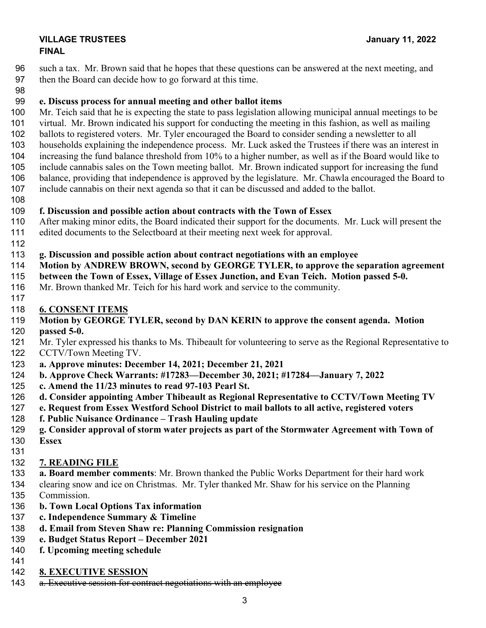## **VILLAGE TRUSTEES January 11, 2022 FINAL**

 such a tax. Mr. Brown said that he hopes that these questions can be answered at the next meeting, and then the Board can decide how to go forward at this time.

# **e. Discuss process for annual meeting and other ballot items**

 Mr. Teich said that he is expecting the state to pass legislation allowing municipal annual meetings to be virtual. Mr. Brown indicated his support for conducting the meeting in this fashion, as well as mailing ballots to registered voters. Mr. Tyler encouraged the Board to consider sending a newsletter to all households explaining the independence process. Mr. Luck asked the Trustees if there was an interest in increasing the fund balance threshold from 10% to a higher number, as well as if the Board would like to include cannabis sales on the Town meeting ballot. Mr. Brown indicated support for increasing the fund balance, providing that independence is approved by the legislature. Mr. Chawla encouraged the Board to include cannabis on their next agenda so that it can be discussed and added to the ballot.

## **f. Discussion and possible action about contracts with the Town of Essex**

- After making minor edits, the Board indicated their support for the documents. Mr. Luck will present the edited documents to the Selectboard at their meeting next week for approval.
- 

## **g. Discussion and possible action about contract negotiations with an employee**

- **Motion by ANDREW BROWN, second by GEORGE TYLER, to approve the separation agreement**
- **between the Town of Essex, Village of Essex Junction, and Evan Teich. Motion passed 5-0.**
- Mr. Brown thanked Mr. Teich for his hard work and service to the community.
- 

# **6. CONSENT ITEMS**

# **Motion by GEORGE TYLER, second by DAN KERIN to approve the consent agenda. Motion**

- **passed 5-0.**  Mr. Tyler expressed his thanks to Ms. Thibeault for volunteering to serve as the Regional Representative to CCTV/Town Meeting TV.
- **a. Approve minutes: December 14, 2021; December 21, 2021**
- **b. Approve Check Warrants: #17283—December 30, 2021; #17284—January 7, 2022**
- **c. Amend the 11/23 minutes to read 97-103 Pearl St.**
- **d. Consider appointing Amber Thibeault as Regional Representative to CCTV/Town Meeting TV**
- **e. Request from Essex Westford School District to mail ballots to all active, registered voters**
- **f. Public Nuisance Ordinance – Trash Hauling update**
- **g. Consider approval of storm water projects as part of the Stormwater Agreement with Town of Essex**
- 

# **7. READING FILE**

**a. Board member comments**: Mr. Brown thanked the Public Works Department for their hard work

 clearing snow and ice on Christmas. Mr. Tyler thanked Mr. Shaw for his service on the Planning Commission.

- **b. Town Local Options Tax information**
- **c. Independence Summary & Timeline**
- **d. Email from Steven Shaw re: Planning Commission resignation**
- **e. Budget Status Report – December 2021**
- **f. Upcoming meeting schedule**
- 
- **8. EXECUTIVE SESSION**
- 143 a. Executive session for contract negotiations with an employee